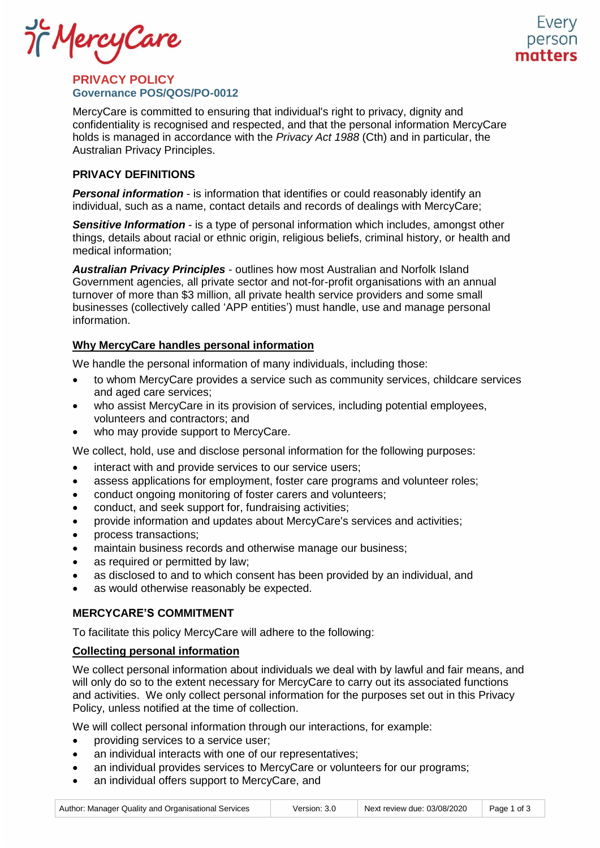if MercyCare

## **PRIVACY POLICY Governance POS/QOS/PO-0012**

MercyCare is committed to ensuring that individual's right to privacy, dignity and confidentiality is recognised and respected, and that the personal information MercyCare holds is managed in accordance with the *Privacy Act 1988* (Cth) and in particular, the Australian Privacy Principles.

# **PRIVACY DEFINITIONS**

*Personal information* - is information that identifies or could reasonably identify an individual, such as a name, contact details and records of dealings with MercyCare;

*Sensitive Information* - is a type of personal information which includes, amongst other things, details about racial or ethnic origin, religious beliefs, criminal history, or health and medical information;

*Australian Privacy Principles* - outlines how most Australian and Norfolk Island Government agencies, all private sector and not-for-profit organisations with an annual turnover of more than \$3 million, all private health service providers and some small businesses (collectively called 'APP entities') must handle, use and manage personal information.

## **Why MercyCare handles personal information**

We handle the personal information of many individuals, including those:

- to whom MercyCare provides a service such as community services, childcare services and aged care services;
- who assist MercyCare in its provision of services, including potential employees, volunteers and contractors; and
- who may provide support to MercyCare.

We collect, hold, use and disclose personal information for the following purposes:

- interact with and provide services to our service users;
- assess applications for employment, foster care programs and volunteer roles;
- conduct ongoing monitoring of foster carers and volunteers;
- conduct, and seek support for, fundraising activities;
- provide information and updates about MercyCare's services and activities;
- process transactions;
- maintain business records and otherwise manage our business;
- as required or permitted by law;
- as disclosed to and to which consent has been provided by an individual, and
- as would otherwise reasonably be expected.

## **MERCYCARE'S COMMITMENT**

To facilitate this policy MercyCare will adhere to the following:

## **Collecting personal information**

We collect personal information about individuals we deal with by lawful and fair means, and will only do so to the extent necessary for MercyCare to carry out its associated functions and activities. We only collect personal information for the purposes set out in this Privacy Policy, unless notified at the time of collection.

We will collect personal information through our interactions, for example:

- providing services to a service user;
- an individual interacts with one of our representatives;
- an individual provides services to MercyCare or volunteers for our programs;
- an individual offers support to MercyCare, and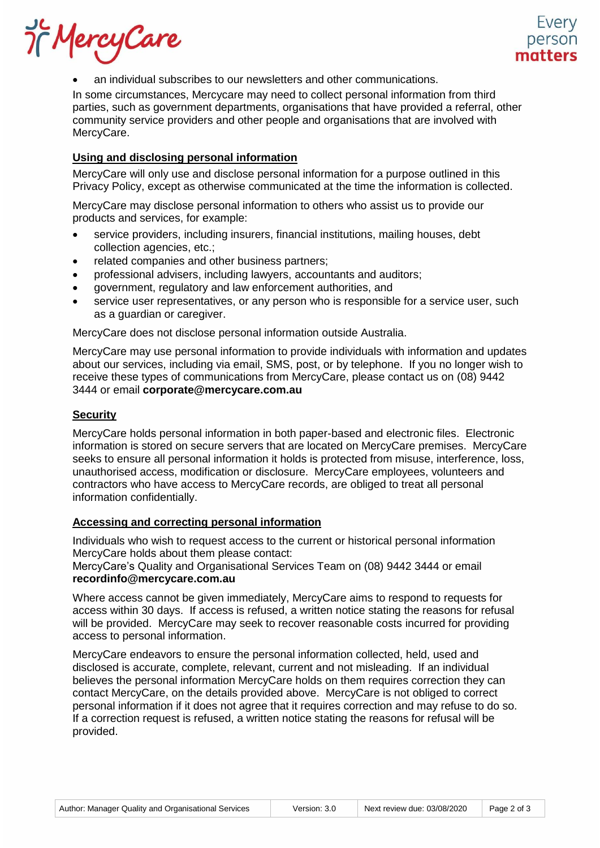Of MercyCare

• an individual subscribes to our newsletters and other communications.

In some circumstances, Mercycare may need to collect personal information from third parties, such as government departments, organisations that have provided a referral, other community service providers and other people and organisations that are involved with MercyCare.

### **Using and disclosing personal information**

MercyCare will only use and disclose personal information for a purpose outlined in this Privacy Policy, except as otherwise communicated at the time the information is collected.

MercyCare may disclose personal information to others who assist us to provide our products and services, for example:

- service providers, including insurers, financial institutions, mailing houses, debt collection agencies, etc.;
- related companies and other business partners;
- professional advisers, including lawyers, accountants and auditors;
- government, regulatory and law enforcement authorities, and
- service user representatives, or any person who is responsible for a service user, such as a guardian or caregiver.

MercyCare does not disclose personal information outside Australia.

MercyCare may use personal information to provide individuals with information and updates about our services, including via email, SMS, post, or by telephone. If you no longer wish to receive these types of communications from MercyCare, please contact us on (08) 9442 3444 or email **[corporate@mercycare.com.au](mailto:corporate@mercycare.com.au)**

### **Security**

MercyCare holds personal information in both paper-based and electronic files. Electronic information is stored on secure servers that are located on MercyCare premises. MercyCare seeks to ensure all personal information it holds is protected from misuse, interference, loss, unauthorised access, modification or disclosure. MercyCare employees, volunteers and contractors who have access to MercyCare records, are obliged to treat all personal information confidentially.

### **Accessing and correcting personal information**

Individuals who wish to request access to the current or historical personal information MercyCare holds about them please contact:

MercyCare's Quality and Organisational Services Team on (08) 9442 3444 or email **[recordinfo@mercycare.com.au](mailto:recordinfo@mercycare.com.au)**

Where access cannot be given immediately, MercyCare aims to respond to requests for access within 30 days. If access is refused, a written notice stating the reasons for refusal will be provided. MercyCare may seek to recover reasonable costs incurred for providing access to personal information.

MercyCare endeavors to ensure the personal information collected, held, used and disclosed is accurate, complete, relevant, current and not misleading. If an individual believes the personal information MercyCare holds on them requires correction they can contact MercyCare, on the details provided above. MercyCare is not obliged to correct personal information if it does not agree that it requires correction and may refuse to do so. If a correction request is refused, a written notice stating the reasons for refusal will be provided.